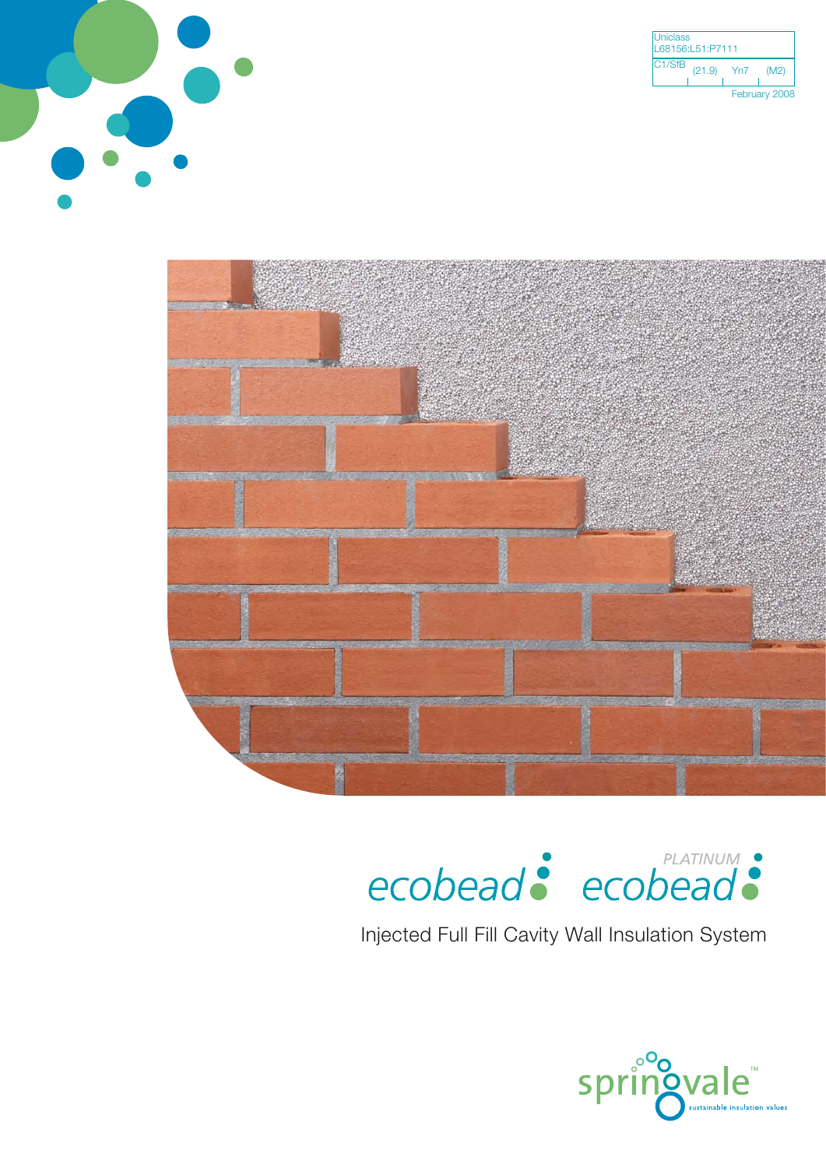

| <b>Uniclass</b><br>L68156:L51:P7111 |        |               |      |  |
|-------------------------------------|--------|---------------|------|--|
| C <sub>1</sub> /Sf <sub>B</sub>     | (21.9) | Yn7           | (M2) |  |
|                                     |        | February 2008 |      |  |



# ecobead: ecobead:

Injected Full Fill Cavity Wall Insulation System

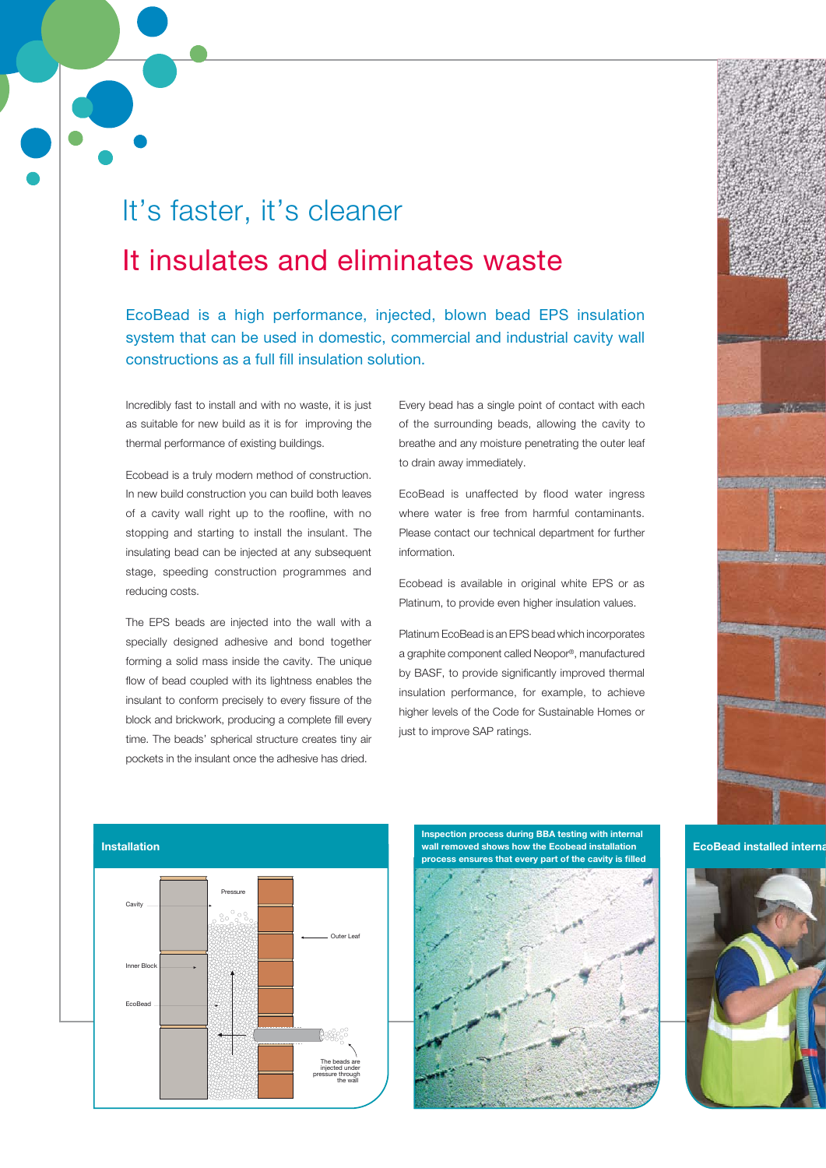## It's faster, it's cleaner It insulates and eliminates waste

EcoBead is a high performance, injected, blown bead EPS insulation system that can be used in domestic, commercial and industrial cavity wall constructions as a full fill insulation solution.

Incredibly fast to install and with no waste, it is just as suitable for new build as it is for improving the thermal performance of existing buildings.

Ecobead is a truly modern method of construction. In new build construction you can build both leaves of a cavity wall right up to the roofline, with no stopping and starting to install the insulant. The insulating bead can be injected at any subsequent stage, speeding construction programmes and reducing costs.

The EPS beads are injected into the wall with a specially designed adhesive and bond together forming a solid mass inside the cavity. The unique flow of bead coupled with its lightness enables the insulant to conform precisely to every fissure of the block and brickwork, producing a complete fill every time. The beads' spherical structure creates tiny air pockets in the insulant once the adhesive has dried.

Every bead has a single point of contact with each of the surrounding beads, allowing the cavity to breathe and any moisture penetrating the outer leaf to drain away immediately.

EcoBead is unaffected by flood water ingress where water is free from harmful contaminants. Please contact our technical department for further information.

Ecobead is available in original white EPS or as Platinum, to provide even higher insulation values.

Platinum EcoBead is an EPS bead which incorporates a graphite component called Neopor®, manufactured by BASF, to provide significantly improved thermal insulation performance, for example, to achieve higher levels of the Code for Sustainable Homes or just to improve SAP ratings.

**EcoBead installed internal** 





**Inspection process during BBA testing with internal wall removed shows how the Ecobead installation** 



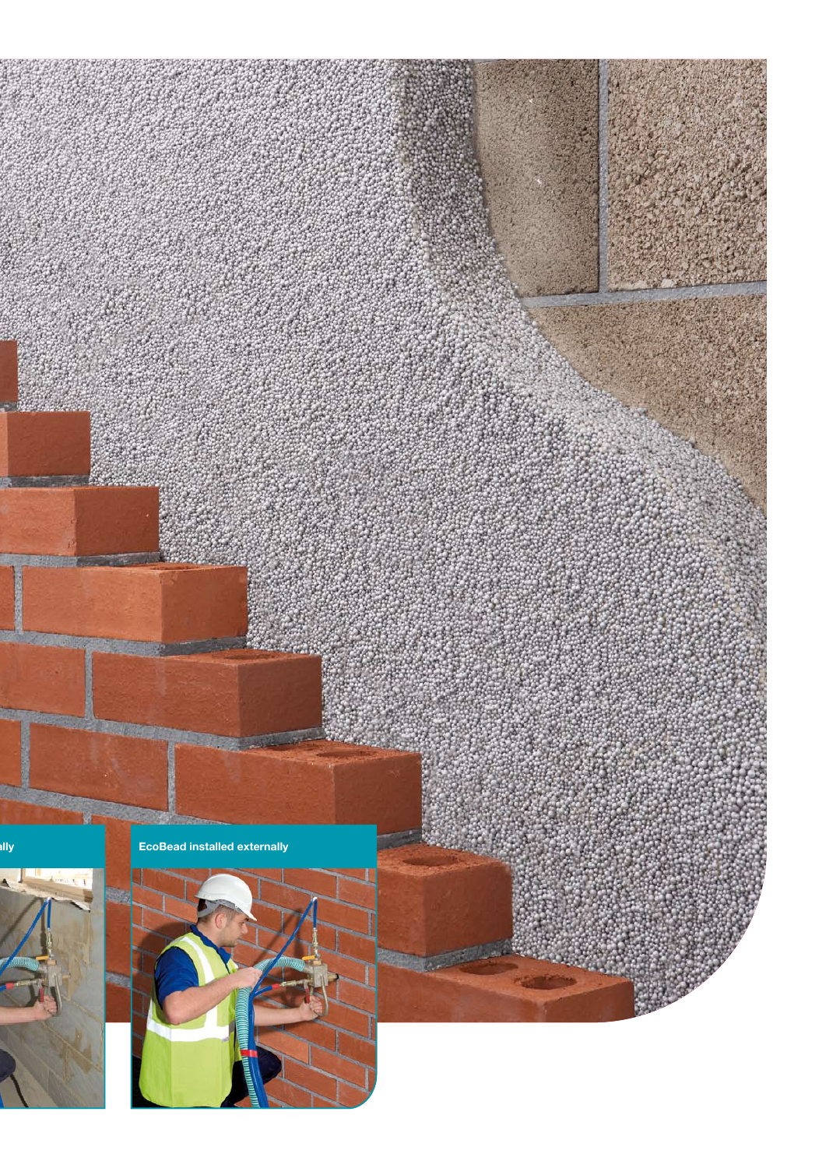